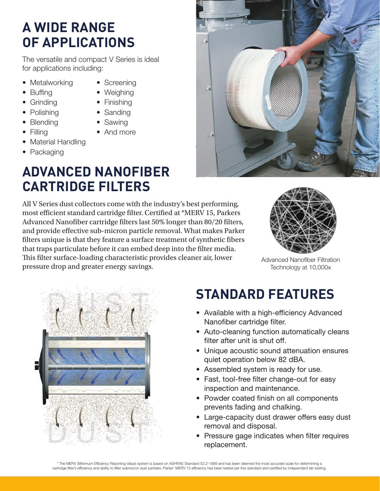### **A WIDE RANGE OF APPLICATIONS**

The versatile and compact V Series is ideal for applications including:

- Metalworking
- Screening • Weighing

• Finishing

- Buffing
- Grinding
- Polishing • Blending

• Filling

- Sanding
- Sawing
- And more
- Material Handling
- Packaging

## **ADVANCED NANOFIBER CARTRIDGE FILTERS**

All V Series dust collectors come with the industry's best performing, most efficient standard cartridge filter. Certified at \*MERV 15, Parkers Advanced Nanofiber cartridge filters last 50% longer than 80/20 filters, and provide effective sub-micron particle removal. What makes Parker filters unique is that they feature a surface treatment of synthetic fibers that traps particulate before it can embed deep into the filter media. This filter surface-loading characteristic provides cleaner air, lower pressure drop and greater energy savings.



Advanced Nanofiber Filtration Technology at 10,000x



## **STANDARD FEATURES**

- Available with a high-efficiency Advanced Nanofiber cartridge filter.
- Auto-cleaning function automatically cleans filter after unit is shut off.
- Unique acoustic sound attenuation ensures quiet operation below 82 dBA.
- Assembled system is ready for use.
- Fast, tool-free filter change-out for easy inspection and maintenance.
- Powder coated finish on all components prevents fading and chalking.
- Large-capacity dust drawer offers easy dust removal and disposal.
- Pressure gage indicates when filter requires replacement.